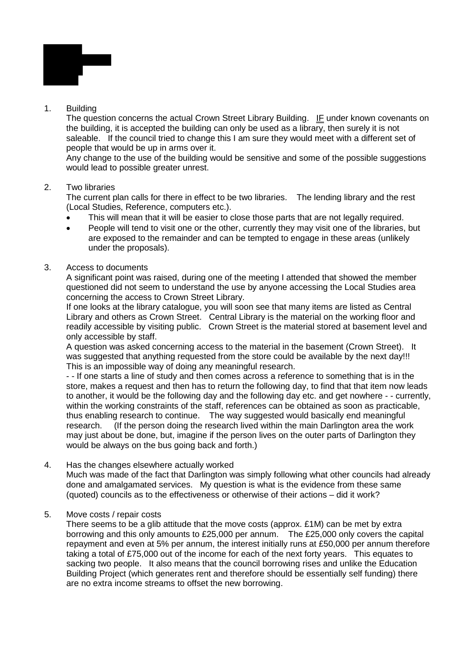

# 1. Building

The question concerns the actual Crown Street Library Building. IF under known covenants on the building, it is accepted the building can only be used as a library, then surely it is not saleable. If the council tried to change this I am sure they would meet with a different set of people that would be up in arms over it.

Any change to the use of the building would be sensitive and some of the possible suggestions would lead to possible greater unrest.

## 2. Two libraries

The current plan calls for there in effect to be two libraries. The lending library and the rest (Local Studies, Reference, computers etc.).

- This will mean that it will be easier to close those parts that are not legally required.
- People will tend to visit one or the other, currently they may visit one of the libraries, but are exposed to the remainder and can be tempted to engage in these areas (unlikely under the proposals).

### 3. Access to documents

A significant point was raised, during one of the meeting I attended that showed the member questioned did not seem to understand the use by anyone accessing the Local Studies area concerning the access to Crown Street Library.

If one looks at the library catalogue, you will soon see that many items are listed as Central Library and others as Crown Street. Central Library is the material on the working floor and readily accessible by visiting public. Crown Street is the material stored at basement level and only accessible by staff.

A question was asked concerning access to the material in the basement (Crown Street). It was suggested that anything requested from the store could be available by the next day!!! This is an impossible way of doing any meaningful research.

- - If one starts a line of study and then comes across a reference to something that is in the store, makes a request and then has to return the following day, to find that that item now leads to another, it would be the following day and the following day etc. and get nowhere - - currently, within the working constraints of the staff, references can be obtained as soon as practicable, thus enabling research to continue. The way suggested would basically end meaningful research. (If the person doing the research lived within the main Darlington area the work may just about be done, but, imagine if the person lives on the outer parts of Darlington they would be always on the bus going back and forth.)

## 4. Has the changes elsewhere actually worked

Much was made of the fact that Darlington was simply following what other councils had already done and amalgamated services. My question is what is the evidence from these same (quoted) councils as to the effectiveness or otherwise of their actions – did it work?

## 5. Move costs / repair costs

There seems to be a glib attitude that the move costs (approx. £1M) can be met by extra borrowing and this only amounts to £25,000 per annum. The £25,000 only covers the capital repayment and even at 5% per annum, the interest initially runs at £50,000 per annum therefore taking a total of £75,000 out of the income for each of the next forty years. This equates to sacking two people. It also means that the council borrowing rises and unlike the Education Building Project (which generates rent and therefore should be essentially self funding) there are no extra income streams to offset the new borrowing.